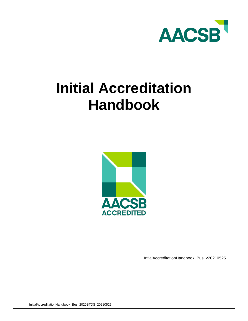

# **Initial Accreditation Handbook**



IntialAccreditationHandbook\_Bus\_v20210525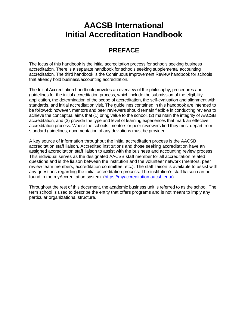# **AACSB International Initial Accreditation Handbook**

# **PREFACE**

The focus of this handbook is the initial accreditation process for schools seeking business accreditation. There is a separate handbook for schools seeking supplemental accounting accreditation. The third handbook is the Continuous Improvement Review handbook for schools that already hold business/accounting accreditation.

The Initial Accreditation handbook provides an overview of the philosophy, procedures and guidelines for the initial accreditation process, which include the submission of the eligibility application, the determination of the scope of accreditation, the self-evaluation and alignment with standards, and initial accreditation visit. The guidelines contained in this handbook are intended to be followed; however, mentors and peer reviewers should remain flexible in conducting reviews to achieve the conceptual aims that (1) bring value to the school, (2) maintain the integrity of AACSB accreditation, and (3) provide the type and level of learning experiences that mark an effective accreditation process. Where the schools, mentors or peer reviewers find they must depart from standard guidelines, documentation of any deviations must be provided.

A key source of information throughout the initial accreditation process is the AACSB accreditation staff liaison. Accredited institutions and those seeking accreditation have an assigned accreditation staff liaison to assist with the business and accounting review process. This individual serves as the designated AACSB staff member for all accreditation related questions and is the liaison between the institution and the volunteer network (mentors, peer review team members, accreditation committee, etc.). The staff liaison is available to assist with any questions regarding the initial accreditation process. The institution's staff liaison can be found in the myAccreditation system. [\(https://myaccreditation.aacsb.edu/\)](https://myaccreditation.aacsb.edu/).

Throughout the rest of this document, the academic business unit is referred to as the school. The term school is used to describe the entity that offers programs and is not meant to imply any particular organizational structure.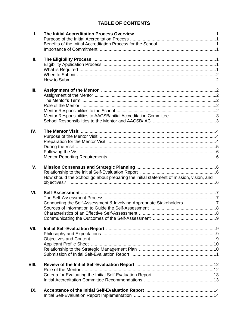# **TABLE OF CONTENTS**

| L.    |                                                                                        |  |
|-------|----------------------------------------------------------------------------------------|--|
|       |                                                                                        |  |
| Ш.    |                                                                                        |  |
|       |                                                                                        |  |
|       |                                                                                        |  |
| III.  |                                                                                        |  |
|       |                                                                                        |  |
|       |                                                                                        |  |
|       |                                                                                        |  |
|       |                                                                                        |  |
|       |                                                                                        |  |
|       |                                                                                        |  |
| IV.   |                                                                                        |  |
|       |                                                                                        |  |
|       |                                                                                        |  |
|       |                                                                                        |  |
|       |                                                                                        |  |
|       |                                                                                        |  |
| V.    |                                                                                        |  |
|       |                                                                                        |  |
|       | How should the School go about preparing the initial statement of mission, vision, and |  |
|       |                                                                                        |  |
| VI.   |                                                                                        |  |
|       |                                                                                        |  |
|       | Conducting the Self-Assessment & Involving Appropriate Stakeholders 7                  |  |
|       |                                                                                        |  |
|       |                                                                                        |  |
|       |                                                                                        |  |
|       |                                                                                        |  |
| VII.  |                                                                                        |  |
|       |                                                                                        |  |
|       |                                                                                        |  |
|       |                                                                                        |  |
|       |                                                                                        |  |
|       |                                                                                        |  |
| VIII. |                                                                                        |  |
|       |                                                                                        |  |
|       |                                                                                        |  |
|       |                                                                                        |  |
| IX.   |                                                                                        |  |
|       |                                                                                        |  |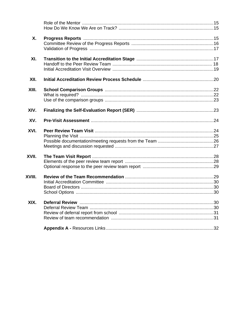| Χ.     |  |
|--------|--|
| XI.    |  |
| XII.   |  |
| XIII.  |  |
| XIV.   |  |
| XV.    |  |
|        |  |
| XVI.   |  |
| XVII.  |  |
| XVIII. |  |
| XIX.   |  |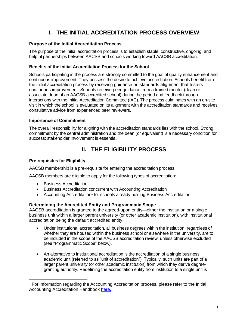# **I. THE INITIAL ACCREDITATION PROCESS OVERVIEW**

# **Purpose of the Initial Accreditation Process**

The purpose of the initial accreditation process is to establish stable, constructive, ongoing, and helpful partnerships between AACSB and schools working toward AACSB accreditation.

# **Benefits of the Initial Accreditation Process for the School**

Schools participating in the process are strongly committed to the goal of quality enhancement and continuous improvement. They possess the desire to achieve accreditation. Schools benefit from the initial accreditation process by receiving guidance on standards alignment that fosters continuous improvement. Schools receive peer guidance from a trained mentor (dean or associate dean of an AACSB accredited school) during the period and feedback through interactions with the Initial Accreditation Committee (IAC). The process culminates with an on-site visit in which the school is evaluated on its alignment with the accreditation standards and receives consultative advice from experienced peer reviewers.

# **Importance of Commitment**

The overall responsibility for aligning with the accreditation standards lies with the school. Strong commitment by the central administration and the dean (or equivalent) is a necessary condition for success; stakeholder involvement is essential.

# **II. THE ELIGIBILITY PROCESS**

# **Pre-requisites for Eligibility**

AACSB membership is a pre-requisite for entering the accreditation process.

AACSB members are eligible to apply for the following types of accreditation:

- Business Accreditation
- Business Accreditation concurrent with Accounting Accreditation
- Accounting Accreditation<sup>1</sup> for schools already holding Business Accreditation.

# **Determining the Accredited Entity and Programmatic Scope**

AACSB accreditation is granted to the agreed-upon entity—either the institution or a single business unit within a larger parent university (or other academic institution), with institutional accreditation being the default accredited entity.

- Under institutional accreditation, all business degrees within the institution, regardless of whether they are housed within the business school or elsewhere in the university, are to be included in the scope of the AACSB accreditation review, unless otherwise excluded (see "Programmatic Scope" below).
- An alternative to institutional accreditation is the accreditation of a single business academic unit (referred to as "unit of accreditation"). Typically, such units are part of a larger parent university (or other academic institution) from which they derive degreegranting authority. Redefining the accreditation entity from institution to a single unit is

<sup>1</sup> For information regarding the Accounting Accreditation process, please refer to the Initial Accounting Accreditation Handbook [here.](https://aacsb.edu/accreditation/journey/accounting/initial)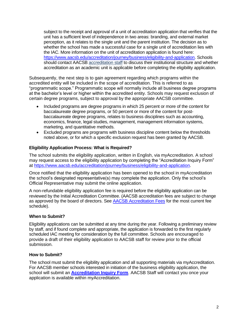subject to the receipt and approval of a unit of accreditation application that verifies that the unit has a sufficient level of independence in two areas: branding, and external market perception, as it relates to the single unit and the parent institution. The decision as to whether the school has made a successful case for a single unit of accreditation lies with the IAC. More information on the unit of accreditation application is found here: [https://www.aacsb.edu/accreditation/journey/business/eligibility-and-application.](https://www.aacsb.edu/accreditation/journey/business/eligibility-and-application) Schools should contact AACSB accreditation staff to discuss their institutional structure and whether accreditation as an academic unit is applicable before completing the eligibility application.

Subsequently, the next step is to gain agreement regarding which programs within the accredited entity will be included in the scope of accreditation. This is referred to as "programmatic scope." Programmatic scope will normally include all business degree programs at the bachelor's level or higher within the accredited entity. Schools may request exclusion of certain degree programs, subject to approval by the appropriate AACSB committee.

- Included programs are degree programs in which 25 percent or more of the content for baccalaureate degree programs, or 50 percent or more of the content for postbaccalaureate degree programs, relates to business disciplines such as accounting, economics, finance, legal studies, management, management information systems, marketing, and quantitative methods.
- Excluded programs are programs with business discipline content below the thresholds noted above, or for which a specific exclusion request has been granted by AACSB.

## **Eligibility Application Process: What is Required?**

The school submits the eligibility application, written in English, via myAccreditation. A school may request access to the eligibility application by completing the "Accreditation Inquiry Form" at [https://www.aacsb.edu/accreditation/journey/business/eligibility-and-application.](https://www.aacsb.edu/accreditation/journey/business/eligibility-and-application)

Once notified that the eligibility application has been opened to the school in myAccreditation the school's designated representative(s) may complete the application. Only the school's Official Representative may submit the online application.

A non-refundable eligibility application fee is required before the eligibility application can be reviewed by the Initial Accreditation Committee. (AACSB accreditation fees are subject to change as approved by the board of directors. See [AACSB Accreditation Fees](https://www.aacsb.edu/accreditation/resources/fees) for the most current fee schedule).

## **When to Submit?**

Eligibility applications can be submitted at any time during the year. Following a preliminary review by staff, and if found complete and appropriate, the application is forwarded to the first regularly scheduled IAC meeting for consideration by the full committee. Schools are encouraged to provide a draft of their eligibility application to AACSB staff for review prior to the official submission.

## **How to Submit?**

The school must submit the eligibility application and all supporting materials via myAccreditation. For AACSB member schools interested in initiation of the business eligibility application, the school will submit an **[Accreditation Inquiry Form](https://www.aacsb.edu/accreditation/inquiry)**. AACSB Staff will contact you once your application is available within myAccreditation.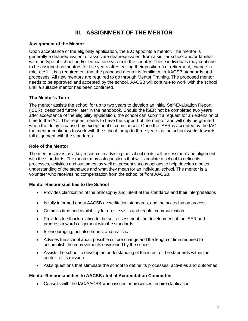# **III. ASSIGNMENT OF THE MENTOR**

## **Assignment of the Mentor**

Upon acceptance of the eligibility application, the IAC appoints a mentor. The mentor is generally a dean/equivalent or associate dean/equivalent from a similar school and/or familiar with the type of school and/or education system in the country. These individuals may continue to be assigned as mentors for five years after leaving their position (i.e. retirement, change in role, etc.). It is a requirement that the proposed mentor is familiar with AACSB standards and processes. All new mentors are required to go through Mentor Training. The proposed mentor needs to be approved and accepted by the school. AACSB will continue to work with the school until a suitable mentor has been confirmed.

## **The Mentor's Term**

The mentor assists the school for up to two years to develop an initial Self-Evaluation Report (iSER), described further later in the handbook. Should the iSER not be completed two years after acceptance of the eligibility application, the school can submit a request for an extension of time to the IAC. This request needs to have the support of the mentor and will only be granted when the delay is caused by exceptional circumstances. Once the iSER is accepted by the IAC, the mentor continues to work with the school for up to three years as the school works towards full alignment with the standards.

## **Role of the Mentor**

The mentor serves as a key resource in advising the school on its self-assessment and alignment with the standards. The mentor may ask questions that will stimulate a school to define its processes, activities and outcomes, as well as present various options to help develop a better understanding of the standards and what they mean for an individual school. The mentor is a volunteer who receives no compensation from the school or from AACSB.

## **Mentor Responsibilities to the School**

- Provides clarification of the philosophy and intent of the standards and their interpretations
- Is fully informed about AACSB accreditation standards, and the accreditation process
- Commits time and availability for on-site visits and regular communication
- Provides feedback relating to the self-assessment, the development of the iSER and progress towards alignment with the standards
- Is encouraging, but also honest and realistic
- Advises the school about possible culture change and the length of time required to accomplish the improvements envisioned by the school
- Assists the school to develop an understanding of the intent of the standards within the context of its mission
- Asks questions that stimulate the school to define its processes, activities and outcomes

## **Mentor Responsibilities to AACSB / Initial Accreditation Committee**

• Consults with the IAC/AACSB when issues or processes require clarification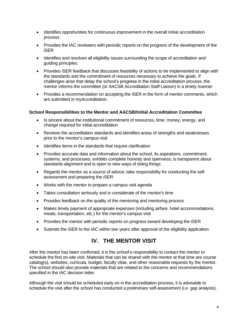- Identifies opportunities for continuous improvement in the overall initial accreditation process
- Provides the IAC reviewers with periodic reports on the progress of the development of the iSER
- Identifies and resolves all eligibility issues surrounding the scope of accreditation and guiding principles.
- Provides iSER feedback that discusses feasibility of actions to be implemented to align with the standards and the commitment of resources necessary to achieve the goals. If challenges arise that delay the school's progress in the initial accreditation process, the mentor informs the committee (or AACSB Accreditation Staff Liaison) in a timely manner
- Provides a recommendation on accepting the iSER in the form of mentor comments, which are submitted in myAccreditation.

## **School Responsibilities to the Mentor and AACSB/Initial Accreditation Committee**

- Is sincere about the institutional commitment of resources, time, money, energy, and change required for initial accreditation
- Reviews the accreditation standards and identifies areas of strengths and weaknesses prior to the mentor's campus visit
- Identifies items in the standards that require clarification
- Provides accurate data and information about the school, its aspirations, commitment, systems, and processes; exhibits complete honesty and openness; is transparent about standards alignment and is open to new ways of doing things
- Regards the mentor as a source of advice; take responsibility for conducting the selfassessment and preparing the iSER
- Works with the mentor to prepare a campus visit agenda
- Takes consultation seriously and is considerate of the mentor's time
- Provides feedback on the quality of the mentoring and mentoring process
- Makes timely payment of appropriate expenses (including airfare, hotel accommodations, meals, transportation, etc.) for the mentor's campus visit
- Provides the mentor with periodic reports on progress toward developing the iSER
- Submits the iSER to the IAC within two years after approval of the eligibility application

# **IV. THE MENTOR VISIT**

After the mentor has been confirmed, it is the school's responsibility to contact the mentor to schedule the first on-site visit. Materials that can be shared with the mentor at that time are course catalog(s), websites, curricula, budget, faculty vitae, and other reasonable requests by the mentor. The school should also provide materials that are related to the concerns and recommendations specified in the IAC decision letter.

Although the visit should be scheduled early on in the accreditation process, it is advisable to schedule the visit after the school has conducted a preliminary self-assessment (i.e. gap analysis).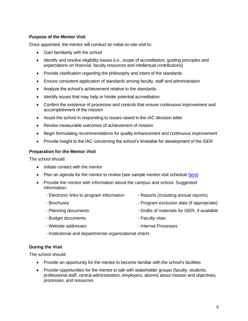## **Purpose of the Mentor Visit**

Once appointed, the mentor will conduct an initial on-site visit to:

- Gain familiarity with the school
- Identify and resolve eligibility issues (i.e., scope of accreditation, guiding principles and expectations on financial, faculty resources and intellectual contributions)
- Provide clarification regarding the philosophy and intent of the standards
- Ensure consistent application of standards among faculty, staff and administration
- Analyze the school's achievement relative to the standards
- Identify issues that may help or hinder potential accreditation
- Confirm the existence of processes and controls that ensure continuous improvement and accomplishment of the mission
- Assist the school in responding to issues raised in the IAC decision letter
- Review measurable outcomes of achievement of mission
- Begin formulating recommendations for quality enhancement and continuous improvement
- Provide insight to the IAC concerning the school's timetable for development of the iSER

#### **Preparation for the Mentor Visit**

The school should:

- Initiate contact with the mentor
- Plan an agenda for the mentor to review (see sample mentor visit schedule [here\)](https://www.aacsb.edu/accreditation/volunteers/mentors)
- Provide the mentor with information about the campus and school. Suggested information:
	- Electronic links to program information Reports (including annual reports)
		-
	- Brochures Program exclusion data (if appropriate)
	- Planning documents Drafts of materials for iSER, if available
	- Budget documents  **Faculty vitae**
	- Website addresses Vebsite addresses
	- Institutional and departmental organizational charts

## **During the Visit**

The school should:

- Provide an opportunity for the mentor to become familiar with the school's facilities
- Provide opportunities for the mentor to talk with stakeholder groups (faculty, students, professional staff, central administration, employers, alumni) about mission and objectives, processes, and resources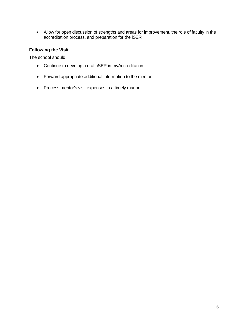• Allow for open discussion of strengths and areas for improvement, the role of faculty in the accreditation process, and preparation for the iSER

# **Following the Visit**

The school should:

- Continue to develop a draft iSER in myAccreditation
- Forward appropriate additional information to the mentor
- Process mentor's visit expenses in a timely manner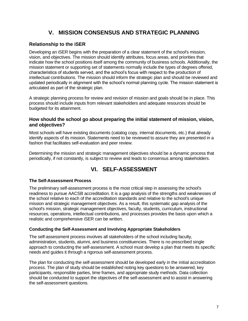# **V. MISSION CONSENSUS AND STRATEGIC PLANNING**

# **Relationship to the iSER**

Developing an iSER begins with the preparation of a clear statement of the school's mission, vision, and objectives. The mission should identify attributes, focus areas, and priorities that indicate how the school positions itself among the community of business schools. Additionally, the mission statement or supporting set of statements normally include the types of degrees offered, characteristics of students served, and the school's focus with respect to the production of intellectual contributions. The mission should inform the strategic plan and should be reviewed and updated periodically in alignment with the school's normal planning cycle. The mission statement is articulated as part of the strategic plan.

A strategic planning process for review and revision of mission and goals should be in place. This process should include inputs from relevant stakeholders and adequate resources should be budgeted for its attainment.

## **How should the school go about preparing the initial statement of mission, vision, and objectives?**

Most schools will have existing documents (catalog copy, internal documents, etc.) that already identify aspects of its mission. Statements need to be reviewed to assure they are presented in a fashion that facilitates self-evaluation and peer review.

Determining the mission and strategic management objectives should be a dynamic process that periodically, if not constantly, is subject to review and leads to consensus among stakeholders.

# **VI. SELF-ASSESSMENT**

## **The Self-Assessment Process**

The preliminary self-assessment process is the most critical step in assessing the school's readiness to pursue AACSB accreditation. It is a gap analysis of the strengths and weaknesses of the school relative to each of the accreditation standards and relative to the school's unique mission and strategic management objectives. As a result, this systematic gap analysis of the school's mission, strategic management objectives, faculty, students, curriculum, instructional resources, operations, intellectual contributions, and processes provides the basis upon which a realistic and comprehensive iSER can be written.

## **Conducting the Self-Assessment and Involving Appropriate Stakeholders**

The self-assessment process involves all stakeholders of the school including faculty, administration, students, alumni, and business constituencies. There is no prescribed single approach to conducting the self-assessment. A school must develop a plan that meets its specific needs and guides it through a rigorous self-assessment process.

The plan for conducting the self-assessment should be developed early in the initial accreditation process. The plan of study should be established noting key questions to be answered, key participants, responsible parties, time frames, and appropriate study methods. Data collection should be conducted to support the objectives of the self-assessment and to assist in answering the self-assessment questions.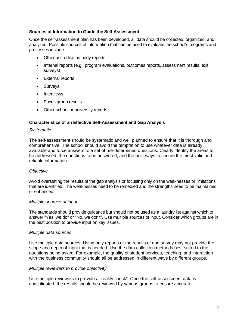#### **Sources of Information to Guide the Self-Assessment**

Once the self-assessment plan has been developed, all data should be collected, organized, and analyzed. Possible sources of information that can be used to evaluate the school's programs and processes include:

- Other accreditation body reports
- Internal reports (e.g., program evaluations, outcomes reports, assessment results, exit surveys)
- External reports
- Surveys
- Interviews
- Focus group results
- Other school or university reports

#### **Characteristics of an Effective Self-Assessment and Gap Analysis**

#### *Systematic*

The self-assessment should be systematic and well planned to ensure that it is thorough and comprehensive. The school should avoid the temptation to use whatever data is already available and force answers to a set of pre-determined questions. Clearly identify the areas to be addressed, the questions to be answered, and the best ways to secure the most valid and reliable information.

#### *Objective*

Avoid overstating the results of the gap analysis or focusing only on the weaknesses or limitations that are identified. The weaknesses need to be remedied and the strengths need to be maintained or enhanced.

#### *Multiple sources of input*

The standards should provide guidance but should not be used as a laundry list against which to answer "Yes, we do" or "No, we don't". Use multiple sources of input. Consider which groups are in the best position to provide input on key issues.

#### *Multiple data sources*

Use multiple data sources. Using only reports or the results of one survey may not provide the scope and depth of input that is needed. Use the data collection methods best suited to the questions being asked. For example, the quality of student services, teaching, and interaction with the business community should all be addressed in different ways by different groups.

#### *Multiple reviewers to provide objectivity*

Use multiple reviewers to provide a "reality check". Once the self-assessment data is consolidated, the results should be reviewed by various groups to ensure accurate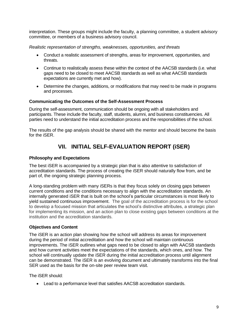interpretation. These groups might include the faculty, a planning committee, a student advisory committee, or members of a business advisory council.

*Realistic representation of strengths, weaknesses, opportunities, and threats*

- Conduct a realistic assessment of strengths, areas for improvement, opportunities, and threats.
- Continue to realistically assess these within the context of the AACSB standards (i.e. what gaps need to be closed to meet AACSB standards as well as what AACSB standards expectations are currently met and how).
- Determine the changes, additions, or modifications that may need to be made in programs and processes.

## **Communicating the Outcomes of the Self-Assessment Process**

During the self-assessment, communication should be ongoing with all stakeholders and participants. These include the faculty, staff, students, alumni, and business constituencies. All parties need to understand the initial accreditation process and the responsibilities of the school.

The results of the gap analysis should be shared with the mentor and should become the basis for the iSER.

# **VII. INITIAL SELF-EVALUATION REPORT (iSER)**

## **Philosophy and Expectations**

The best iSER is accompanied by a strategic plan that is also attentive to satisfaction of accreditation standards. The process of creating the iSER should naturally flow from, and be part of, the ongoing strategic planning process.

A long-standing problem with many iSERs is that they focus solely on closing gaps between current conditions and the conditions necessary to align with the accreditation standards. An internally generated iSER that is built on the school's particular circumstances is most likely to yield sustained continuous improvement. The goal of the accreditation process is for the school to develop a focused mission that articulates the school's distinctive attributes, a strategic plan for implementing its mission, and an action plan to close existing gaps between conditions at the institution and the accreditation standards.

## **Objectives and Content**

The iSER is an action plan showing how the school will address its areas for improvement during the period of initial accreditation and how the school will maintain continuous improvements. The iSER outlines what gaps need to be closed to align with AACSB standards and how current activities meet the expectations of the standards, which ones, and how. The school will continually update the iSER during the initial accreditation process until alignment can be demonstrated. The iSER is an evolving document and ultimately transforms into the final SER used as the basis for the on-site peer review team visit.

The iSER should:

• Lead to a performance level that satisfies AACSB accreditation standards.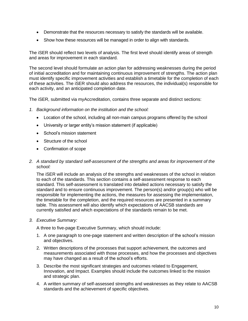- Demonstrate that the resources necessary to satisfy the standards will be available.
- Show how these resources will be managed in order to align with standards.

The iSER should reflect two levels of analysis. The first level should identify areas of strength and areas for improvement in each standard.

The second level should formulate an action plan for addressing weaknesses during the period of initial accreditation and for maintaining continuous improvement of strengths. The action plan must identify specific improvement activities and establish a timetable for the completion of each of these activities. The iSER should also address the resources, the individual(s) responsible for each activity, and an anticipated completion date.

The iSER, submitted via myAccreditation, contains three separate and distinct sections:

- *1. Background information on the institution and the school:*
	- Location of the school, including all non-main campus programs offered by the school
	- University or larger entity's mission statement (if applicable)
	- School's mission statement
	- Structure of the school
	- Confirmation of scope
- *2. A standard by standard self-assessment of the strengths and areas for improvement of the school:*

The iSER will include an analysis of the strengths and weaknesses of the school in relation to each of the standards. This section contains a self-assessment response to each standard. This self-assessment is translated into detailed actions necessary to satisfy the standard and to ensure continuous improvement. The person(s) and/or group(s) who will be responsible for implementing the actions, the measures for assessing the implementation, the timetable for the completion, and the required resources are presented in a summary table. This assessment will also identify which expectations of AACSB standards are currently satisfied and which expectations of the standards remain to be met.

*3. Executive Summary:*

A three to five-page Executive Summary, which should include:

- 1. A one paragraph to one-page statement and written description of the school's mission and objectives.
- 2. Written descriptions of the processes that support achievement, the outcomes and measurements associated with those processes, and how the processes and objectives may have changed as a result of the school's efforts.
- 3. Describe the most significant strategies and outcomes related to Engagement, Innovation, and Impact. Examples should include the outcomes linked to the mission and strategic plan.
- 4. A written summary of self-assessed strengths and weaknesses as they relate to AACSB standards and the achievement of specific objectives.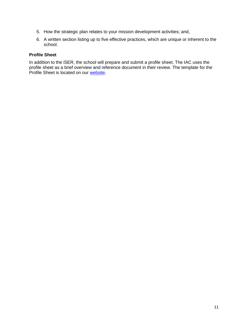- 5. How the strategic plan relates to your mission development activities; and,
- 6. A written section listing up to five effective practices, which are unique or inherent to the school.

## **Profile Sheet**

In addition to the iSER, the school will prepare and submit a profile sheet. The IAC uses the profile sheet as a brief overview and reference document in their review. The template for the Profile Sheet is located on our [website.](https://www.aacsb.edu/accreditation/resources/journey/business/initial)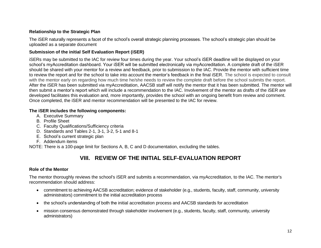# **Relationship to the Strategic Plan**

The iSER naturally represents a facet of the school's overall strategic planning processes. The school's strategic plan should be uploaded as a separate document

## **Submission of the initial Self Evaluation Report (iSER)**

iSERs may be submitted to the IAC for review four times during the year. Your school's iSER deadline will be displayed on your school's myAccreditation dashboard. Your iSER will be submitted electronically via myAccreditation. A complete draft of the iSER should be shared with your mentor for a review and feedback, prior to submission to the IAC. Provide the mentor with sufficient time to review the report and for the school to take into account the mentor's feedback in the final iSER. The school is expected to consult with the mentor early on regarding how much time he/she needs to review the complete draft before the school submits the report. After the iSER has been submitted via myAccreditation, AACSB staff will notify the mentor that it has been submitted. The mentor will then submit a mentor's report which will include a recommendation to the IAC. Involvement of the mentor as drafts of the iSER are developed facilitates this evaluation and, more importantly, provides the school with an ongoing benefit from review and comment. Once completed, the iSER and mentor recommendation will be presented to the IAC for review.

## **The iSER includes the following components:**

- A. Executive Summary
- B. Profile Sheet
- C. Faculty Qualifications/Sufficiency criteria
- D. Standards and Tables 2-1, 3-1, 3-2, 5-1 and 8-1
- E. School's current strategic plan
- F. Addendum items

NOTE: There is a 100-page limit for Sections A, B, C and D documentation, excluding the tables.

# **VIII. REVIEW OF THE INITIAL SELF-EVALUATION REPORT**

## **Role of the Mentor**

The mentor thoroughly reviews the school's iSER and submits a recommendation, via myAccreditation, to the IAC. The mentor's recommendation should address:

- commitment to achieving AACSB accreditation; evidence of stakeholder (e.g., students, faculty, staff, community, university administrators) commitment to the initial accreditation process
- the school's understanding of both the initial accreditation process and AACSB standards for accreditation
- mission consensus demonstrated through stakeholder involvement (e.g., students, faculty, staff, community, university administrators)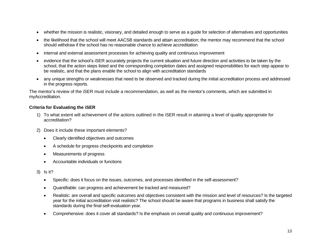- whether the mission is realistic, visionary, and detailed enough to serve as a guide for selection of alternatives and opportunities
- the likelihood that the school will meet AACSB standards and attain accreditation; the mentor may recommend that the school should withdraw if the school has no reasonable chance to achieve accreditation
- internal and external assessment processes for achieving quality and continuous improvement
- evidence that the school's iSER accurately projects the current situation and future direction and activities to be taken by the school, that the action steps listed and the corresponding completion dates and assigned responsibilities for each step appear to be realistic, and that the plans enable the school to align with accreditation standards
- any unique strengths or weaknesses that need to be observed and tracked during the initial accreditation process and addressed in the progress reports.

The mentor's review of the iSER must include a recommendation, as well as the mentor's comments, which are submitted in myAccreditation.

# **Criteria for Evaluating the iSER**

- 1) To what extent will achievement of the actions outlined in the iSER result in attaining a level of quality appropriate for accreditation?
- 2) Does it include these important elements?
	- Clearly identified objectives and outcomes
	- A schedule for progress checkpoints and completion
	- Measurements of progress
	- Accountable individuals or functions
- 3) Is it?
	- Specific: does it focus on the issues, outcomes, and processes identified in the self-assessment?
	- Quantifiable: can progress and achievement be tracked and measured?
	- Realistic: are overall and specific outcomes and objectives consistent with the mission and level of resources? Is the targeted year for the initial accreditation visit realistic? The school should be aware that programs in business shall satisfy the standards during the final self-evaluation year.
	- Comprehensive: does it cover all standards? Is the emphasis on overall quality and continuous improvement?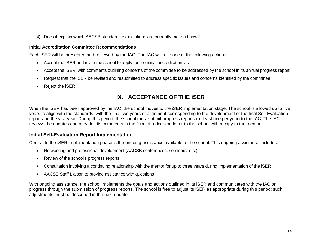4) Does it explain which AACSB standards expectations are currently met and how?

## **Initial Accreditation Committee Recommendations**

Each iSER will be presented and reviewed by the IAC. The IAC will take one of the following actions:

- Accept the iSER and invite the school to apply for the initial accreditation visit
- Accept the iSER, with comments outlining concerns of the committee to be addressed by the school in its annual progress report
- Request that the iSER be revised and resubmitted to address specific issues and concerns identified by the committee
- Reject the iSER

# **IX. ACCEPTANCE OF THE iSER**

When the iSER has been approved by the IAC, the school moves to the iSER implementation stage. The school is allowed up to five years to align with the standards, with the final two years of alignment corresponding to the development of the final Self-Evaluation report and the visit year. During this period, the school must submit progress reports (at least one per year) to the IAC. The IAC reviews the updates and provides its comments in the form of a decision letter to the school with a copy to the mentor.

# **Initial Self-Evaluation Report Implementation**

Central to the iSER implementation phase is the ongoing assistance available to the school. This ongoing assistance includes:

- Networking and professional development (AACSB conferences, seminars, etc.)
- Review of the school's progress reports
- Consultation involving a continuing relationship with the mentor for up to three years during implementation of the iSER
- AACSB Staff Liaison to provide assistance with questions

With ongoing assistance, the school implements the goals and actions outlined in its iSER and communicates with the IAC on progress through the submission of progress reports. The school is free to adjust its iSER as appropriate during this period; such adjustments must be described in the next update.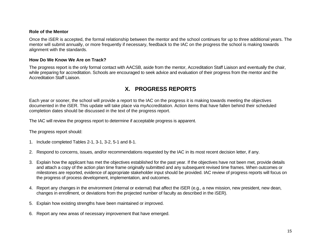#### **Role of the Mentor**

Once the iSER is accepted, the formal relationship between the mentor and the school continues for up to three additional years. The mentor will submit annually, or more frequently if necessary, feedback to the IAC on the progress the school is making towards alignment with the standards.

#### **How Do We Know We Are on Track?**

The progress report is the only formal contact with AACSB, aside from the mentor, Accreditation Staff Liaison and eventually the chair, while preparing for accreditation. Schools are encouraged to seek advice and evaluation of their progress from the mentor and the Accreditation Staff Liaison.

# **X. PROGRESS REPORTS**

Each year or sooner, the school will provide a report to the IAC on the progress it is making towards meeting the objectives documented in the iSER. This update will take place via myAccreditation. Action items that have fallen behind their scheduled completion dates should be discussed in the text of the progress report.

The IAC will review the progress report to determine if acceptable progress is apparent.

The progress report should:

- 1. Include completed Tables 2-1, 3-1, 3-2, 5-1 and 8-1.
- 2. Respond to concerns, issues, and/or recommendations requested by the IAC in its most recent decision letter, if any.
- 3. Explain how the applicant has met the objectives established for the past year. If the objectives have not been met, provide details and attach a copy of the action plan time frame originally submitted and any subsequent revised time frames. When outcomes or milestones are reported, evidence of appropriate stakeholder input should be provided. IAC review of progress reports will focus on the progress of process development, implementation, and outcomes.
- 4. Report any changes in the environment (internal or external) that affect the iSER (e.g., a new mission, new president, new dean, changes in enrollment, or deviations from the projected number of faculty as described in the iSER).
- 5. Explain how existing strengths have been maintained or improved.
- 6. Report any new areas of necessary improvement that have emerged.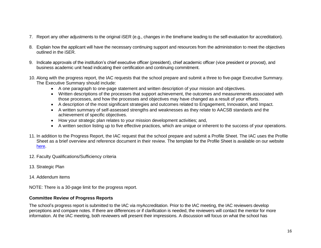- 7. Report any other adjustments to the original iSER (e.g., changes in the timeframe leading to the self-evaluation for accreditation).
- 8. Explain how the applicant will have the necessary continuing support and resources from the administration to meet the objectives outlined in the iSER.
- 9. Indicate approvals of the institution's chief executive officer (president), chief academic officer (vice president or provost), and business academic unit head indicating their certification and continuing commitment.
- 10. Along with the progress report, the IAC requests that the school prepare and submit a three to five-page Executive Summary. The Executive Summary should include:
	- A one paragraph to one-page statement and written description of your mission and objectives.
	- Written descriptions of the processes that support achievement, the outcomes and measurements associated with those processes, and how the processes and objectives may have changed as a result of your efforts.
	- A description of the most significant strategies and outcomes related to Engagement, Innovation, and Impact.
	- A written summary of self-assessed strengths and weaknesses as they relate to AACSB standards and the achievement of specific objectives.
	- How your strategic plan relates to your mission development activities; and,
	- A written section listing up to five effective practices, which are unique or inherent to the success of your operations.
- 11. In addition to the Progress Report, the IAC request that the school prepare and submit a Profile Sheet. The IAC uses the Profile Sheet as a brief overview and reference document in their review. The template for the Profile Sheet is available on our website [here.](https://www.aacsb.edu/accreditation/journey/business/initial)
- 12. Faculty Qualifications/Sufficiency criteria
- 13. Strategic Plan
- 14. Addendum items

NOTE: There is a 30-page limit for the progress report.

## **Committee Review of Progress Reports**

The school's progress report is submitted to the IAC via myAccreditation. Prior to the IAC meeting, the IAC reviewers develop perceptions and compare notes. If there are differences or if clarification is needed, the reviewers will contact the mentor for more information. At the IAC meeting, both reviewers will present their impressions. A discussion will focus on what the school has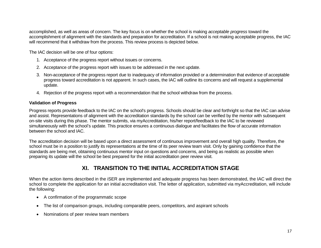accomplished, as well as areas of concern. The key focus is on whether the school is making *acceptable progress* toward the accomplishment of alignment with the standards and preparation for accreditation. If a school is not making acceptable progress, the IAC will recommend that it withdraw from the process. This review process is depicted below.

The IAC decision will be one of four options:

- 1. Acceptance of the progress report without issues or concerns.
- 2. Acceptance of the progress report with issues to be addressed in the next update.
- 3. Non-acceptance of the progress report due to inadequacy of information provided or a determination that evidence of acceptable progress toward accreditation is not apparent. In such cases, the IAC will outline its concerns and will request a supplemental update.
- 4. Rejection of the progress report with a recommendation that the school withdraw from the process.

## **Validation of Progress**

Progress reports provide feedback to the IAC on the school's progress. Schools should be clear and forthright so that the IAC can advise and assist. Representations of alignment with the accreditation standards by the school can be verified by the mentor with subsequent on-site visits during this phase. The mentor submits, via myAccreditation, his/her report/feedback to the IAC to be reviewed simultaneously with the school's update. This practice ensures a continuous dialogue and facilitates the flow of accurate information between the school and IAC.

The accreditation decision will be based upon a direct assessment of continuous improvement and overall high quality. Therefore, the school must be in a position to justify its representations at the time of its peer review team visit. Only by gaining confidence that the standards are being met, obtaining continuous mentor input on questions and concerns, and being as realistic as possible when preparing its update will the school be best prepared for the initial accreditation peer review visit.

# **XI. TRANSITION TO THE INITIAL ACCREDITATION STAGE**

When the action items described in the iSER are implemented and adequate progress has been demonstrated, the IAC will direct the school to complete the application for an initial accreditation visit. The letter of application, submitted via myAccreditation, will include the following:

- A confirmation of the programmatic scope
- The list of comparison groups, including comparable peers, competitors, and aspirant schools
- Nominations of peer review team members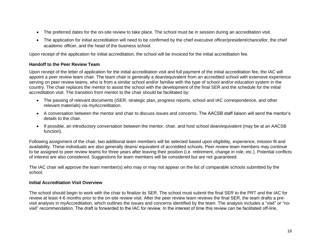- The preferred dates for the on-site review to take place. The school must be in session during an accreditation visit.
- The application for initial accreditation will need to be confirmed by the chief executive officer/president/chancellor, the chief academic officer, and the head of the business school.

Upon receipt of the application for initial accreditation, the school will be invoiced for the initial accreditation fee.

# **Handoff to the Peer Review Team**

Upon receipt of the letter of application for the initial accreditation visit and full payment of the initial accreditation fee, the IAC will appoint a peer review team chair. The team chair is generally a dean/equivalent from an accredited school with extensive experience serving on peer review teams, who is from a similar school and/or familiar with the type of school and/or education system in the country. The chair replaces the mentor to assist the school with the development of the final SER and the schedule for the initial accreditation visit. The transition from mentor to the chair should be facilitated by:

- The passing of relevant documents (iSER, strategic plan, progress reports, school and IAC correspondence, and other relevant materials) via myAccreditation.
- A conversation between the mentor and chair to discuss issues and concerns. The AACSB staff liaison will send the mentor's details to the chair.
- If possible, an introductory conversation between the mentor, chair, and host school dean/equivalent (may be at an AACSB function).

Following assignment of the chair, two additional team members will be selected based upon eligibility, experience, mission fit and availability. These individuals are also generally deans/ equivalent of accredited schools. Peer review team members may continue to be assigned to peer review teams for three years after leaving their position (i.e. retirement, change in role, etc.). Potential conflicts of interest are also considered. Suggestions for team members will be considered but are not guaranteed.

The IAC chair will approve the team member(s) who may or may not appear on the list of comparable schools submitted by the school.

# **Initial Accreditation Visit Overview**

The school should begin to work with the chair to finalize its SER. The school must submit the final SER to the PRT and the IAC for review at least 4-6 months prior to the on-site review visit. After the peer review team reviews the final SER, the team drafts a previsit analysis in myAccreditation, which outlines the issues and concerns identified by the team. The analysis includes a "visit" or "novisit" recommendation. The draft is forwarded to the IAC for review. In the interest of time this review can be facilitated off-line,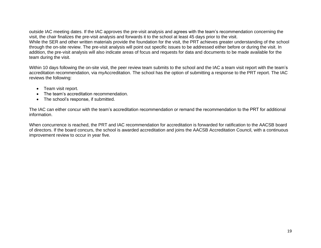outside IAC meeting dates. If the IAC approves the pre-visit analysis and agrees with the team's recommendation concerning the visit, the chair finalizes the pre-visit analysis and forwards it to the school at least 45 days prior to the visit. While the SER and other written materials provide the foundation for the visit, the PRT achieves greater understanding of the school through the on-site review. The pre-visit analysis will point out specific issues to be addressed either before or during the visit. In addition, the pre-visit analysis will also indicate areas of focus and requests for data and documents to be made available for the team during the visit.

Within 10 days following the on-site visit, the peer review team submits to the school and the IAC a team visit report with the team's accreditation recommendation, via myAccreditation. The school has the option of submitting a response to the PRT report. The IAC reviews the following:

- Team visit report.
- The team's accreditation recommendation.
- The school's response, if submitted.

The IAC can either concur with the team's accreditation recommendation or remand the recommendation to the PRT for additional information.

When concurrence is reached, the PRT and IAC recommendation for accreditation is forwarded for ratification to the AACSB board of directors. If the board concurs, the school is awarded accreditation and joins the AACSB Accreditation Council, with a continuous improvement review to occur in year five.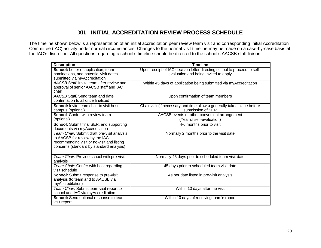# **XII. INITIAL ACCREDITATION REVIEW PROCESS SCHEDULE**

The timeline shown below is a representation of an initial accreditation peer review team visit and corresponding Initial Accreditation Committee (IAC) activity under normal circumstances. Changes to the normal visit timeline may be made on a case-by-case basis at the IAC's discretion. All questions regarding a school's timeline should be directed to the school's AACSB staff liaison.

| <b>Description</b>                                                                                                                                                      | <b>Timeline</b>                                                                                                   |
|-------------------------------------------------------------------------------------------------------------------------------------------------------------------------|-------------------------------------------------------------------------------------------------------------------|
| School: Letter of application, team<br>nominations, and potential visit dates<br>submitted via myAccreditation                                                          | Upon receipt of IAC decision letter directing school to proceed to self-<br>evaluation and being invited to apply |
| AACSB Staff: Invite team after review and<br>approval of senior AACSB staff and IAC<br>chair                                                                            | Within 45 days of application being submitted via myAccreditation                                                 |
| AACSB Staff: Send team and date<br>confirmation to all once finalized                                                                                                   | Upon confirmation of team members                                                                                 |
| <b>School:</b> Invite team chair to visit host<br>campus (optional)                                                                                                     | Chair visit (if necessary and time allows) generally takes place before<br>submission of SER                      |
| <b>School:</b> Confer with review team<br>(optional)                                                                                                                    | AACSB events or other convenient arrangement<br>(Year of self-evaluation)                                         |
| School: Submit final SER, and supporting<br>documents via myAccreditation                                                                                               | 4-6 months prior to visit                                                                                         |
| Team Chair: Submit draft pre-visit analysis<br>to AACSB for review by the IAC<br>recommending visit or no-visit and listing<br>concerns (standard by standard analysis) | Normally 2 months prior to the visit date                                                                         |
| Team Chair: Provide school with pre-visit<br>analysis                                                                                                                   | Normally 45 days prior to scheduled team visit date                                                               |
| Team Chair. Confer with host regarding<br>visit schedule                                                                                                                | 45 days prior to scheduled team visit date                                                                        |
| <b>School:</b> Submit response to pre-visit<br>analysis (to team and to AACSB via<br>myAccreditation)                                                                   | As per date listed in pre-visit analysis                                                                          |
| Team Chair. Submit team visit report to<br>school and IAC via myAccreditation                                                                                           | Within 10 days after the visit                                                                                    |
| <b>School:</b> Send optional response to team<br>visit report                                                                                                           | Within 10 days of receiving team's report                                                                         |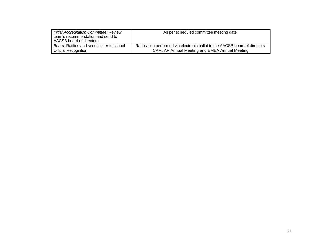| Initial Accreditation Committee: Review<br>team's recommendation and send to<br>AACSB board of directors | As per scheduled committee meeting date                                      |
|----------------------------------------------------------------------------------------------------------|------------------------------------------------------------------------------|
| Board: Ratifies and sends letter to school                                                               | Ratification performed via electronic ballot to the AACSB board of directors |
| <b>Official Recognition</b>                                                                              | ICAM, AP Annual Meeting and EMEA Annual Meeting                              |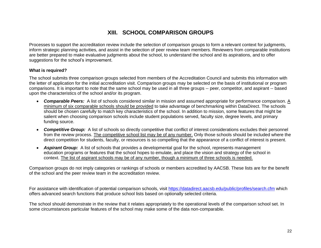# **XIII. SCHOOL COMPARISON GROUPS**

Processes to support the accreditation review include the selection of comparison groups to form a relevant context for judgments, inform strategic planning activities, and assist in the selection of peer review team members. Reviewers from comparable institutions are better prepared to make evaluative judgments about the school, to understand the school and its aspirations, and to offer suggestions for the school's improvement.

## **What is required?**

The school submits three comparison groups selected from members of the Accreditation Council and submits this information with the letter of application for the initial accreditation visit. Comparison groups may be selected on the basis of institutional or program comparisons. It is important to note that the same school may be used in all three groups -- peer, competitor, and aspirant -- based upon the characteristics of the school and/or its program.

- *Comparable Peers:* A list of schools considered similar in mission and assumed appropriate for performance comparison. A minimum of six comparable schools should be provided to take advantage of benchmarking within DataDirect. The schools should be chosen carefully to match key characteristics of the school. In addition to mission, some features that might be salient when choosing comparison schools include student populations served, faculty size, degree levels, and primary funding source.
- *Competitive Group:* A list of schools so directly competitive that conflict of interest considerations excludes their personnel from the review process. The competitive school list may be of any number. Only those schools should be included where the direct competition for students, faculty, or resources is so compelling that the appearance of a conflict of interest is present.
- *Aspirant Group:* A list of schools that provides a developmental goal for the school, represents management education programs or features that the school hopes to emulate, and place the vision and strategy of the school in context. The list of aspirant schools may be of any number, though a minimum of three schools is needed.

Comparison groups do not imply categories or rankings of schools or members accredited by AACSB. These lists are for the benefit of the school and the peer review team in the accreditation review.

For assistance with identification of potential comparison schools, visit <https://datadirect.aacsb.edu/public/profiles/search.cfm> which offers advanced search functions that produce school lists based on optionally selected criteria.

The school should demonstrate in the review that it relates appropriately to the operational levels of the comparison school set. In some circumstances particular features of the school may make some of the data non-comparable.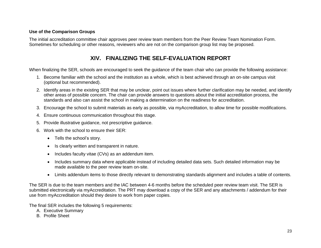## **Use of the Comparison Groups**

The initial accreditation committee chair approves peer review team members from the Peer Review Team Nomination Form. Sometimes for scheduling or other reasons, reviewers who are not on the comparison group list may be proposed.

# **XIV. FINALIZING THE SELF-EVALUATION REPORT**

When finalizing the SER, schools are encouraged to seek the guidance of the team chair who can provide the following assistance:

- 1. Become familiar with the school and the institution as a whole, which is best achieved through an on-site campus visit (optional but recommended).
- 2. Identify areas in the existing SER that may be unclear, point out issues where further clarification may be needed, and identify other areas of possible concern. The chair can provide answers to questions about the initial accreditation process, the standards and also can assist the school in making a determination on the readiness for accreditation.
- 3. Encourage the school to submit materials as early as possible, via myAccreditation, to allow time for possible modifications.
- 4. Ensure continuous communication throughout this stage.
- 5. Provide illustrative guidance, not prescriptive guidance.
- 6. Work with the school to ensure their SER:
	- Tells the school's story.
	- Is clearly written and transparent in nature.
	- Includes faculty vitae (CVs) as an addendum item.
	- Includes summary data where applicable instead of including detailed data sets. Such detailed information may be made available to the peer review team on-site.
	- Limits addendum items to those directly relevant to demonstrating standards alignment and includes a table of contents.

The SER is due to the team members and the IAC between 4-6 months before the scheduled peer review team visit. The SER is submitted electronically via myAccreditation. The PRT may download a copy of the SER and any attachments / addendum for their use from myAccreditation should they desire to work from paper copies.

The final SER includes the following 5 requirements:

- A. Executive Summary
- B. Profile Sheet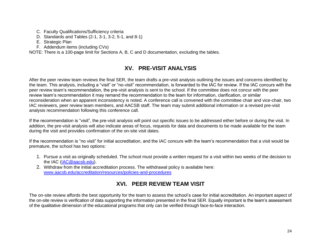- C. Faculty Qualifications/Sufficiency criteria
- D. Standards and Tables (2-1, 3-1, 3-2, 5-1, and 8-1)
- E. Strategic Plan
- F. Addendum items (including CVs)

NOTE: There is a 100-page limit for Sections A, B, C and D documentation, excluding the tables.

# **XV. PRE-VISIT ANALYSIS**

After the peer review team reviews the final SER, the team drafts a pre-visit analysis outlining the issues and concerns identified by the team. This analysis, including a "visit" or "no-visit" recommendation, is forwarded to the IAC for review. If the IAC concurs with the peer review team's recommendation, the pre-visit analysis is sent to the school. If the committee does not concur with the peer review team's recommendation it may remand the recommendation to the team for information, clarification, or similar reconsideration when an apparent inconsistency is noted. A conference call is convened with the committee chair and vice-chair, two IAC reviewers, peer review team members, and AACSB staff. The team may submit additional information or a revised pre-visit analysis recommendation following this conference call.

If the recommendation is "visit", the pre-visit analysis will point out specific issues to be addressed either before or during the visit. In addition, the pre-visit analysis will also indicate areas of focus, requests for data and documents to be made available for the team during the visit and provides confirmation of the on-site visit dates.

If the recommendation is "no visit" for initial accreditation, and the IAC concurs with the team's recommendation that a visit would be premature, the school has two options:

- 1. Pursue a visit as originally scheduled. The school must provide a written request for a visit within two weeks of the decision to the IAC [\(IAC@aacsb.edu\)](mailto:IAC@aacsb.edu).
- 2. Withdraw from the initial accreditation process. The withdrawal policy is available here: [www.aacsb.edu/accreditation/resources/policies-and-procedures](https://aacsbbiaacsb.sharepoint.com/sites/Accreddept/Shared%20Documents/BATF/Transition/Transition%20Documents/Initial/DRAFT/SM.MB/For%20MB%20review_reviewed%20by%20SM/www.aacsb.edu/accreditation/resources/policies-and-procedures)

# **XVI. PEER REVIEW TEAM VISIT**

The on-site review affords the best opportunity for the team to assess the school's case for initial accreditation. An important aspect of the on-site review is verification of data supporting the information presented in the final SER. Equally important is the team's assessment of the qualitative dimension of the educational programs that only can be verified through face-to-face interaction.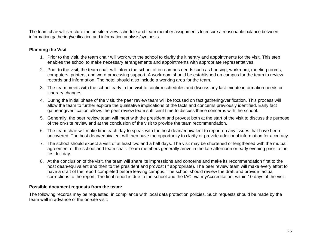The team chair will structure the on-site review schedule and team member assignments to ensure a reasonable balance between information gathering/verification and information analysis/synthesis.

## **Planning the Visit**

- 1. Prior to the visit, the team chair will work with the school to clarify the itinerary and appointments for the visit. This step enables the school to make necessary arrangements and appointments with appropriate representatives.
- 2. Prior to the visit, the team chair will inform the school of on-campus needs such as housing, workroom, meeting rooms, computers, printers, and word processing support. A workroom should be established on campus for the team to review records and information. The hotel should also include a working area for the team.
- 3. The team meets with the school early in the visit to confirm schedules and discuss any last-minute information needs or itinerary changes.
- 4. During the initial phase of the visit, the peer review team will be focused on fact gathering/verification. This process will allow the team to further explore the qualitative implications of the facts and concerns previously identified. Early fact gathering/verification allows the peer review team sufficient time to discuss these concerns with the school.
- 5. Generally, the peer review team will meet with the president and provost both at the start of the visit to discuss the purpose of the on-site review and at the conclusion of the visit to provide the team recommendation.
- 6. The team chair will make time each day to speak with the host dean/equivalent to report on any issues that have been uncovered. The host dean/equivalent will then have the opportunity to clarify or provide additional information for accuracy.
- 7. The school should expect a visit of at least two and a half days. The visit may be shortened or lengthened with the mutual agreement of the school and team chair. Team members generally arrive in the late afternoon or early evening prior to the first full day.
- 8. At the conclusion of the visit, the team will share its impressions and concerns and make its recommendation first to the host dean/equivalent and then to the president and provost (if appropriate). The peer review team will make every effort to have a draft of the report completed before leaving campus. The school should review the draft and provide factual corrections to the report. The final report is due to the school and the IAC, via myAccreditation, within 10 days of the visit.

#### **Possible document requests from the team:**

The following records may be requested, in compliance with local data protection policies. Such requests should be made by the team well in advance of the on-site visit.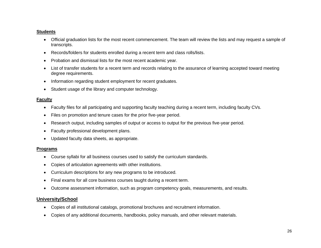## **Students**

- Official graduation lists for the most recent commencement. The team will review the lists and may request a sample of transcripts.
- Records/folders for students enrolled during a recent term and class rolls/lists.
- Probation and dismissal lists for the most recent academic year.
- List of transfer students for a recent term and records relating to the assurance of learning accepted toward meeting degree requirements.
- Information regarding student employment for recent graduates.
- Student usage of the library and computer technology.

## **Faculty**

- Faculty files for all participating and supporting faculty teaching during a recent term, including faculty CVs.
- Files on promotion and tenure cases for the prior five-year period.
- Research output, including samples of output or access to output for the previous five-year period.
- Faculty professional development plans.
- Updated faculty data sheets, as appropriate.

# **Programs**

- Course syllabi for all business courses used to satisfy the curriculum standards.
- Copies of articulation agreements with other institutions.
- Curriculum descriptions for any new programs to be introduced.
- Final exams for all core business courses taught during a recent term.
- Outcome assessment information, such as program competency goals, measurements, and results.

# **University/School**

- Copies of all institutional catalogs, promotional brochures and recruitment information.
- Copies of any additional documents, handbooks, policy manuals, and other relevant materials.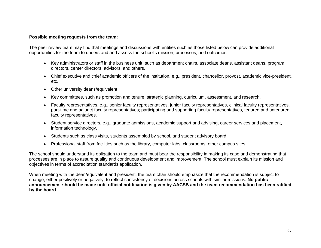## **Possible meeting requests from the team:**

The peer review team may find that meetings and discussions with entities such as those listed below can provide additional opportunities for the team to understand and assess the school's mission, processes, and outcomes:

- Key administrators or staff in the business unit, such as department chairs, associate deans, assistant deans, program directors, center directors, advisors, and others.
- Chief executive and chief academic officers of the institution, e.g., president, chancellor, provost, academic vice-president, etc.
- Other university deans/equivalent.
- Key committees, such as promotion and tenure, strategic planning, curriculum, assessment, and research.
- Faculty representatives, e.g., senior faculty representatives, junior faculty representatives, clinical faculty representatives, part-time and adjunct faculty representatives; participating and supporting faculty representatives, tenured and untenured faculty representatives.
- Student service directors, e.g., graduate admissions, academic support and advising, career services and placement, information technology.
- Students such as class visits, students assembled by school, and student advisory board.
- Professional staff from facilities such as the library, computer labs, classrooms, other campus sites.

The school should understand its obligation to the team and must bear the responsibility in making its case and demonstrating that processes are in place to assure quality and continuous development and improvement. The school must explain its mission and objectives in terms of accreditation standards application.

When meeting with the dean/equivalent and president, the team chair should emphasize that the recommendation is subject to change, either positively or negatively, to reflect consistency of decisions across schools with similar missions. **No public announcement should be made until official notification is given by AACSB and the team recommendation has been ratified by the board.**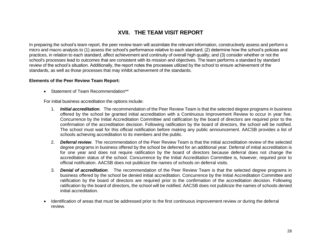# **XVII. THE TEAM VISIT REPORT**

In preparing the school's team report, the peer review team will assimilate the relevant information, constructively assess and perform a micro and macro analysis to (1) assess the school's performance relative to each standard; (2) determine how the school's policies and practices, in relation to each standard, affect achievement and continuity of overall high quality; and (3) consider whether or not the school's processes lead to outcomes that are consistent with its mission and objectives. The team performs a standard by standard review of the school's situation. Additionally, the report notes the processes utilized by the school to ensure achievement of the standards, as well as those processes that may inhibit achievement of the standards.

#### **Elements of the Peer Review Team Report:**

• Statement of Team Recommendation\*\*

For initial business accreditation the options include:

- 1. *Initial accreditation.* The recommendation of the Peer Review Team is that the selected degree programs in business offered by the school be granted initial accreditation with a Continuous Improvement Review to occur in year five. Concurrence by the Initial Accreditation Committee and ratification by the board of directors are required prior to the confirmation of the accreditation decision. Following ratification by the board of directors, the school will be notified. The school must wait for this official notification before making any public announcement. AACSB provides a list of schools achieving accreditation to its members and the public.
- 2. *Deferral review*. The recommendation of the Peer Review Team is that the initial accreditation review of the selected degree programs in business offered by the school be deferred for an additional year. Deferral of initial accreditation is for one year and does not require ratification by the board of directors because deferral does not change the accreditation status of the school. Concurrence by the Initial Accreditation Committee is, however, required prior to official notification. AACSB does not publicize the names of schools on deferral visits.
- 3. *Denial of accreditation*. The recommendation of the Peer Review Team is that the selected degree programs in business offered by the school be denied initial accreditation. Concurrence by the Initial Accreditation Committee and ratification by the board of directors are required prior to the confirmation of the accreditation decision. Following ratification by the board of directors, the school will be notified. AACSB does not publicize the names of schools denied initial accreditation.
- Identification of areas that must be addressed prior to the first continuous improvement review *or* during the deferral review*.*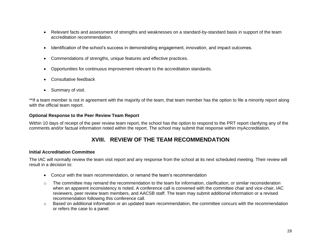- Relevant facts and assessment of strengths and weaknesses on a standard-by-standard basis in support of the team accreditation recommendation.
- Identification of the school's success in demonstrating engagement, innovation, and impact outcomes.
- Commendations of strengths, unique features and effective practices.
- Opportunities for continuous improvement relevant to the accreditation standards.
- Consultative feedback
- Summary of visit.

\*\*If a team member is not in agreement with the majority of the team, that team member has the option to file a minority report along with the official team report.

## **Optional Response to the Peer Review Team Report**

Within 10 days of receipt of the peer review team report, the school has the option to respond to the PRT report clarifying any of the comments and/or factual information noted within the report. The school may submit that response within myAccreditation.

# **XVIII. REVIEW OF THE TEAM RECOMMENDATION**

# **Initial Accreditation Committee**

The IAC will normally review the team visit report and any response from the school at its next scheduled meeting. Their review will result in a decision to:

- Concur with the team recommendation, or remand the team's recommendation
- $\circ$  The committee may remand the recommendation to the team for information, clarification, or similar reconsideration when an apparent inconsistency is noted. A conference call is convened with the committee chair and vice-chair, IAC reviewers, peer review team members, and AACSB staff. The team may submit additional information or a revised recommendation following this conference call.
- $\circ$  Based on additional information or an updated team recommendation, the committee concurs with the recommendation or refers the case to a panel.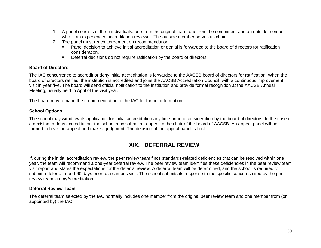- 1. A panel consists of three individuals: one from the original team; one from the committee; and an outside member who is an experienced accreditation reviewer. The outside member serves as chair.
- 2. The panel must reach agreement on recommendation
	- **Panel decision to achieve initial accreditation or denial is forwarded to the board of directors for ratification** consideration.
	- **•** Deferral decisions do not require ratification by the board of directors.

## **Board of Directors**

The IAC concurrence to accredit or deny initial accreditation is forwarded to the AACSB board of directors for ratification. When the board of directors ratifies, the institution is accredited and joins the AACSB Accreditation Council, with a continuous improvement visit in year five. The board will send official notification to the institution and provide formal recognition at the AACSB Annual Meeting, usually held in April of the visit year.

The board may remand the recommendation to the IAC for further information.

## **School Options**

The school may withdraw its application for initial accreditation any time prior to consideration by the board of directors. In the case of a decision to deny accreditation, the school may submit an appeal to the chair of the board of AACSB. An appeal panel will be formed to hear the appeal and make a judgment. The decision of the appeal panel is final.

# **XIX. DEFERRAL REVIEW**

If, during the initial accreditation review, the peer review team finds standards-related deficiencies that can be resolved within one year, the team will recommend a one-year deferral review. The peer review team identifies these deficiencies in the peer review team visit report and states the expectations for the deferral review. A deferral team will be determined, and the school is required to submit a deferral report 60 days prior to a campus visit. The school submits its response to the specific concerns cited by the peer review team via myAccreditation.

## **Deferral Review Team**

The deferral team selected by the IAC normally includes one member from the original peer review team and one member from (or appointed by) the IAC.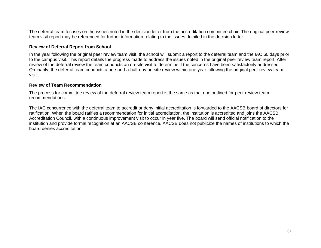The deferral team focuses on the issues noted in the decision letter from the accreditation committee chair. The original peer review team visit report may be referenced for further information relating to the issues detailed in the decision letter.

#### **Review of Deferral Report from School**

In the year following the original peer review team visit, the school will submit a report to the deferral team and the IAC 60 days prior to the campus visit. This report details the progress made to address the issues noted in the original peer review team report. After review of the deferral review the team conducts an on-site visit to determine if the concerns have been satisfactorily addressed. Ordinarily, the deferral team conducts a one-and-a-half-day on-site review within one year following the original peer review team visit.

#### **Review of Team Recommendation**

The process for committee review of the deferral review team report is the same as that one outlined for peer review team recommendations.

The IAC concurrence with the deferral team to accredit or deny initial accreditation is forwarded to the AACSB board of directors for ratification. When the board ratifies a recommendation for initial accreditation, the institution is accredited and joins the AACSB Accreditation Council, with a continuous improvement visit to occur in year five. The board will send official notification to the institution and provide formal recognition at an AACSB conference. AACSB does not publicize the names of institutions to which the board denies accreditation.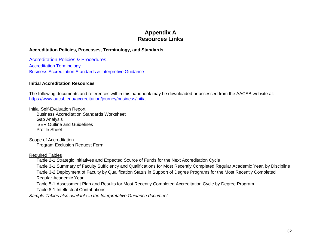# **Appendix A Resources Links**

## **Accreditation Policies, Processes, Terminology, and Standards**

[Accreditation Policies & Procedures](https://www.aacsb.edu/accreditation/resources/policies-and-procedures) [Accreditation Terminology](https://www.aacsb.edu/accreditation/resources/terminology) [Business Accreditation Standards & Interpretive Guidance](https://www.aacsb.edu/accreditation/standards/business)

#### **Initial Accreditation Resources**

The following documents and references within this handbook may be downloaded or accessed from the AACSB website at: [https://www.aacsb.edu/accreditation/journey/business/initial.](https://www.aacsb.edu/accreditation/journey/business/initial)

Initial Self-Evaluation Report

Business Accreditation Standards Worksheet Gap Analysis iSER Outline and Guidelines Profile Sheet

Scope of Accreditation Program Exclusion Request Form

Required Tables

Table 2-1 Strategic Initiatives and Expected Source of Funds for the Next Accreditation Cycle

Table 3-1 Summary of Faculty Sufficiency and Qualifications for Most Recently Completed Regular Academic Year, by Discipline

Table 3-2 Deployment of Faculty by Qualification Status in Support of Degree Programs for the Most Recently Completed Regular Academic Year

Table 5-1 Assessment Plan and Results for Most Recently Completed Accreditation Cycle by Degree Program

Table 8-1 Intellectual Contributions

*Sample Tables also available in the Interpretative Guidance document*